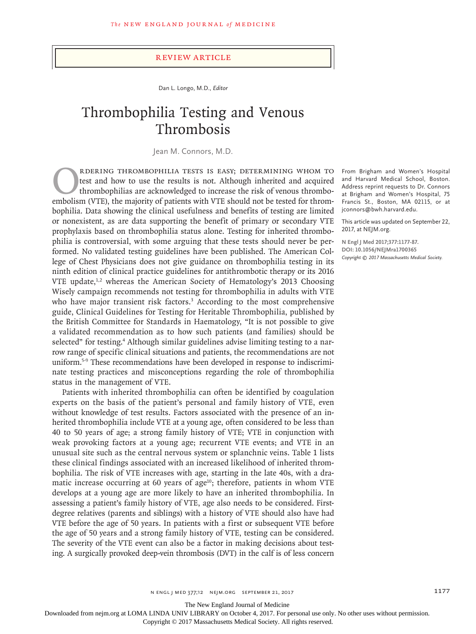#### Review Article

Dan L. Longo, M.D., *Editor*

# Thrombophilia Testing and Venous Thrombosis

Jean M. Connors, M.D.

**EXERING THROMBOPHILIA TESTS IS EASY; DETERMINING WHOM TO** test and how to use the results is not. Although inherited and acquired thrombophilias are acknowledged to increase the risk of venous thrombo-<br>embolism (VTE), the test and how to use the results is not. Although inherited and acquired thrombophilias are acknowledged to increase the risk of venous thromboembolism (VTE), the majority of patients with VTE should not be tested for thrombophilia. Data showing the clinical usefulness and benefits of testing are limited or nonexistent, as are data supporting the benefit of primary or secondary VTE prophylaxis based on thrombophilia status alone. Testing for inherited thrombophilia is controversial, with some arguing that these tests should never be performed. No validated testing guidelines have been published. The American College of Chest Physicians does not give guidance on thrombophilia testing in its ninth edition of clinical practice guidelines for antithrombotic therapy or its 2016 VTE update,<sup>1,2</sup> whereas the American Society of Hematology's 2013 Choosing Wisely campaign recommends not testing for thrombophilia in adults with VTE who have major transient risk factors.<sup>3</sup> According to the most comprehensive guide, Clinical Guidelines for Testing for Heritable Thrombophilia, published by the British Committee for Standards in Haematology, "It is not possible to give a validated recommendation as to how such patients (and families) should be selected" for testing.<sup>4</sup> Although similar guidelines advise limiting testing to a narrow range of specific clinical situations and patients, the recommendations are not uniform.<sup>5-9</sup> These recommendations have been developed in response to indiscriminate testing practices and misconceptions regarding the role of thrombophilia status in the management of VTE.

Patients with inherited thrombophilia can often be identified by coagulation experts on the basis of the patient's personal and family history of VTE, even without knowledge of test results. Factors associated with the presence of an inherited thrombophilia include VTE at a young age, often considered to be less than 40 to 50 years of age; a strong family history of VTE; VTE in conjunction with weak provoking factors at a young age; recurrent VTE events; and VTE in an unusual site such as the central nervous system or splanchnic veins. Table 1 lists these clinical findings associated with an increased likelihood of inherited thrombophilia. The risk of VTE increases with age, starting in the late 40s, with a dramatic increase occurring at 60 years of age $10$ ; therefore, patients in whom VTE develops at a young age are more likely to have an inherited thrombophilia. In assessing a patient's family history of VTE, age also needs to be considered. Firstdegree relatives (parents and siblings) with a history of VTE should also have had VTE before the age of 50 years. In patients with a first or subsequent VTE before the age of 50 years and a strong family history of VTE, testing can be considered. The severity of the VTE event can also be a factor in making decisions about testing. A surgically provoked deep-vein thrombosis (DVT) in the calf is of less concern

From Brigham and Women's Hospital and Harvard Medical School, Boston. Address reprint requests to Dr. Connors at Brigham and Women's Hospital, 75 Francis St., Boston, MA 02115, or at jconnors@bwh.harvard.edu.

This article was updated on September 22, 2017, at NEJM.org.

**N Engl J Med 2017;377:1177-87. DOI: 10.1056/NEJMra1700365** *Copyright © 2017 Massachusetts Medical Society.*

The New England Journal of Medicine

Downloaded from nejm.org at LOMA LINDA UNIV LIBRARY on October 4, 2017. For personal use only. No other uses without permission.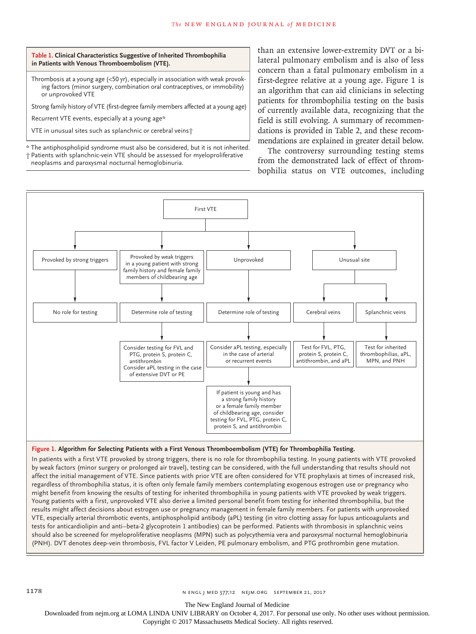#### **Table 1. Clinical Characteristics Suggestive of Inherited Thrombophilia in Patients with Venous Thromboembolism (VTE).**

Thrombosis at a young age (<50 yr), especially in association with weak provoking factors (minor surgery, combination oral contraceptives, or immobility) or unprovoked VTE

Strong family history of VTE (first-degree family members affected at a young age)

Recurrent VTE events, especially at a young age\*

VTE in unusual sites such as splanchnic or cerebral veins†

\* The antiphospholipid syndrome must also be considered, but it is not inherited. † Patients with splanchnic-vein VTE should be assessed for myeloproliferative neoplasms and paroxysmal nocturnal hemoglobinuria.

than an extensive lower-extremity DVT or a bilateral pulmonary embolism and is also of less concern than a fatal pulmonary embolism in a first-degree relative at a young age. Figure 1 is an algorithm that can aid clinicians in selecting patients for thrombophilia testing on the basis of currently available data, recognizing that the field is still evolving. A summary of recommendations is provided in Table 2, and these recommendations are explained in greater detail below.

The controversy surrounding testing stems from the demonstrated lack of effect of thrombophilia status on VTE outcomes, including



#### **Figure 1. Algorithm for Selecting Patients with a First Venous Thromboembolism (VTE) for Thrombophilia Testing.**

In patients with a first VTE provoked by strong triggers, there is no role for thrombophilia testing. In young patients with VTE provoked by weak factors (minor surgery or prolonged air travel), testing can be considered, with the full understanding that results should not affect the initial management of VTE. Since patients with prior VTE are often considered for VTE prophylaxis at times of increased risk, regardless of thrombophilia status, it is often only female family members contemplating exogenous estrogen use or pregnancy who might benefit from knowing the results of testing for inherited thrombophilia in young patients with VTE provoked by weak triggers. Young patients with a first, unprovoked VTE also derive a limited personal benefit from testing for inherited thrombophilia, but the results might affect decisions about estrogen use or pregnancy management in female family members. For patients with unprovoked VTE, especially arterial thrombotic events, antiphospholipid antibody (aPL) testing (in vitro clotting assay for lupus anticoagulants and tests for anticardiolipin and anti–beta-2 glycoprotein 1 antibodies) can be performed. Patients with thrombosis in splanchnic veins should also be screened for myeloproliferative neoplasms (MPN) such as polycythemia vera and paroxysmal nocturnal hemoglobinuria (PNH). DVT denotes deep-vein thrombosis, FVL factor V Leiden, PE pulmonary embolism, and PTG prothrombin gene mutation.

The New England Journal of Medicine

Downloaded from nejm.org at LOMA LINDA UNIV LIBRARY on October 4, 2017. For personal use only. No other uses without permission.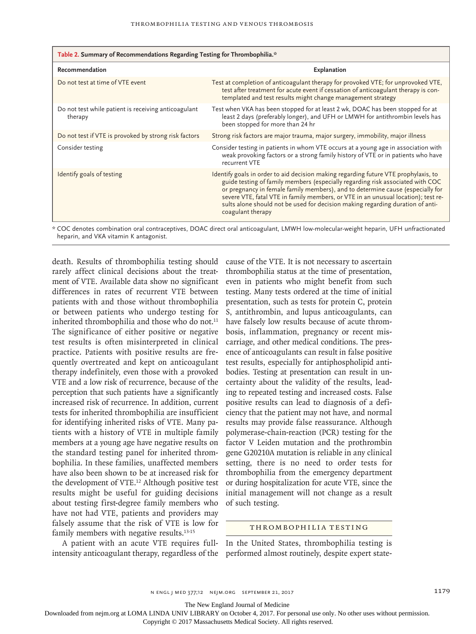| Table 2. Summary of Recommendations Regarding Testing for Thrombophilia.* |                                                                                                                                                                                                                                                                                                                                                                                                                                                     |  |  |
|---------------------------------------------------------------------------|-----------------------------------------------------------------------------------------------------------------------------------------------------------------------------------------------------------------------------------------------------------------------------------------------------------------------------------------------------------------------------------------------------------------------------------------------------|--|--|
| Recommendation                                                            | Explanation                                                                                                                                                                                                                                                                                                                                                                                                                                         |  |  |
| Do not test at time of VTE event                                          | Test at completion of anticoagulant therapy for provoked VTE; for unprovoked VTE,<br>test after treatment for acute event if cessation of anticoagulant therapy is con-<br>templated and test results might change management strategy                                                                                                                                                                                                              |  |  |
| Do not test while patient is receiving anticoagulant<br>therapy           | Test when VKA has been stopped for at least 2 wk, DOAC has been stopped for at<br>least 2 days (preferably longer), and UFH or LMWH for antithrombin levels has<br>been stopped for more than 24 hr                                                                                                                                                                                                                                                 |  |  |
| Do not test if VTE is provoked by strong risk factors                     | Strong risk factors are major trauma, major surgery, immobility, major illness                                                                                                                                                                                                                                                                                                                                                                      |  |  |
| Consider testing                                                          | Consider testing in patients in whom VTE occurs at a young age in association with<br>weak provoking factors or a strong family history of VTE or in patients who have<br>recurrent VTE                                                                                                                                                                                                                                                             |  |  |
| Identify goals of testing                                                 | Identify goals in order to aid decision making regarding future VTE prophylaxis, to<br>guide testing of family members (especially regarding risk associated with COC<br>or pregnancy in female family members), and to determine cause (especially for<br>severe VTE, fatal VTE in family members, or VTE in an unusual location); test re-<br>sults alone should not be used for decision making regarding duration of anti-<br>coagulant therapy |  |  |
|                                                                           | *COCI III III III III DOACH III IIIMMII II IIII III III CII                                                                                                                                                                                                                                                                                                                                                                                         |  |  |

\* COC denotes combination oral contraceptives, DOAC direct oral anticoagulant, LMWH low-molecular-weight heparin, UFH unfractionated heparin, and VKA vitamin K antagonist.

death. Results of thrombophilia testing should rarely affect clinical decisions about the treatment of VTE. Available data show no significant differences in rates of recurrent VTE between patients with and those without thrombophilia or between patients who undergo testing for inherited thrombophilia and those who do not.<sup>11</sup> The significance of either positive or negative test results is often misinterpreted in clinical practice. Patients with positive results are frequently overtreated and kept on anticoagulant therapy indefinitely, even those with a provoked VTE and a low risk of recurrence, because of the perception that such patients have a significantly increased risk of recurrence. In addition, current tests for inherited thrombophilia are insufficient for identifying inherited risks of VTE. Many patients with a history of VTE in multiple family members at a young age have negative results on the standard testing panel for inherited thrombophilia. In these families, unaffected members have also been shown to be at increased risk for the development of VTE.12 Although positive test results might be useful for guiding decisions about testing first-degree family members who have not had VTE, patients and providers may falsely assume that the risk of VTE is low for family members with negative results.<sup>13-15</sup>

A patient with an acute VTE requires fullintensity anticoagulant therapy, regardless of the performed almost routinely, despite expert state-

cause of the VTE. It is not necessary to ascertain thrombophilia status at the time of presentation, even in patients who might benefit from such testing. Many tests ordered at the time of initial presentation, such as tests for protein C, protein S, antithrombin, and lupus anticoagulants, can have falsely low results because of acute thrombosis, inflammation, pregnancy or recent miscarriage, and other medical conditions. The presence of anticoagulants can result in false positive test results, especially for antiphospholipid antibodies. Testing at presentation can result in uncertainty about the validity of the results, leading to repeated testing and increased costs. False positive results can lead to diagnosis of a deficiency that the patient may not have, and normal results may provide false reassurance. Although polymerase-chain-reaction (PCR) testing for the factor V Leiden mutation and the prothrombin gene G20210A mutation is reliable in any clinical setting, there is no need to order tests for thrombophilia from the emergency department or during hospitalization for acute VTE, since the initial management will not change as a result of such testing.

#### Thrombophilia Testing

In the United States, thrombophilia testing is

The New England Journal of Medicine

Downloaded from nejm.org at LOMA LINDA UNIV LIBRARY on October 4, 2017. For personal use only. No other uses without permission.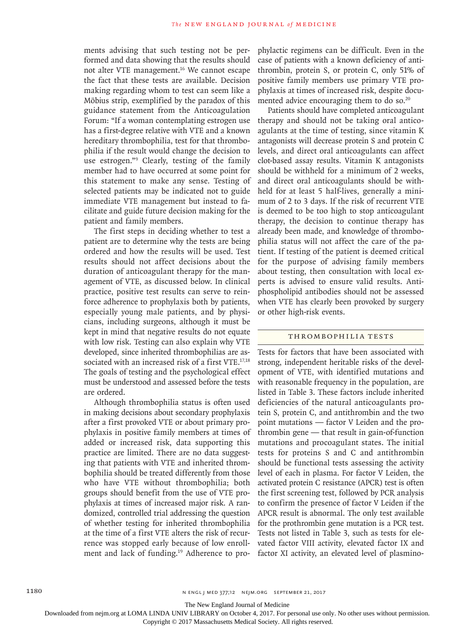ments advising that such testing not be performed and data showing that the results should not alter VTE management.16 We cannot escape the fact that these tests are available. Decision making regarding whom to test can seem like a Möbius strip, exemplified by the paradox of this guidance statement from the Anticoagulation Forum: "If a woman contemplating estrogen use has a first-degree relative with VTE and a known hereditary thrombophilia, test for that thrombophilia if the result would change the decision to use estrogen."9 Clearly, testing of the family member had to have occurred at some point for this statement to make any sense. Testing of selected patients may be indicated not to guide immediate VTE management but instead to facilitate and guide future decision making for the patient and family members.

The first steps in deciding whether to test a patient are to determine why the tests are being ordered and how the results will be used. Test results should not affect decisions about the duration of anticoagulant therapy for the management of VTE, as discussed below. In clinical practice, positive test results can serve to reinforce adherence to prophylaxis both by patients, especially young male patients, and by physicians, including surgeons, although it must be kept in mind that negative results do not equate with low risk. Testing can also explain why VTE developed, since inherited thrombophilias are associated with an increased risk of a first VTE.<sup>17,18</sup> The goals of testing and the psychological effect must be understood and assessed before the tests are ordered.

Although thrombophilia status is often used in making decisions about secondary prophylaxis after a first provoked VTE or about primary prophylaxis in positive family members at times of added or increased risk, data supporting this practice are limited. There are no data suggesting that patients with VTE and inherited thrombophilia should be treated differently from those who have VTE without thrombophilia; both groups should benefit from the use of VTE prophylaxis at times of increased major risk. A randomized, controlled trial addressing the question of whether testing for inherited thrombophilia at the time of a first VTE alters the risk of recurrence was stopped early because of low enrollment and lack of funding.19 Adherence to prophylactic regimens can be difficult. Even in the case of patients with a known deficiency of antithrombin, protein S, or protein C, only 51% of positive family members use primary VTE prophylaxis at times of increased risk, despite documented advice encouraging them to do so.<sup>20</sup>

Patients should have completed anticoagulant therapy and should not be taking oral anticoagulants at the time of testing, since vitamin K antagonists will decrease protein S and protein C levels, and direct oral anticoagulants can affect clot-based assay results. Vitamin K antagonists should be withheld for a minimum of 2 weeks, and direct oral anticoagulants should be withheld for at least 5 half-lives, generally a minimum of 2 to 3 days. If the risk of recurrent VTE is deemed to be too high to stop anticoagulant therapy, the decision to continue therapy has already been made, and knowledge of thrombophilia status will not affect the care of the patient. If testing of the patient is deemed critical for the purpose of advising family members about testing, then consultation with local experts is advised to ensure valid results. Antiphospholipid antibodies should not be assessed when VTE has clearly been provoked by surgery or other high-risk events.

## Thrombophilia Tests

Tests for factors that have been associated with strong, independent heritable risks of the development of VTE, with identified mutations and with reasonable frequency in the population, are listed in Table 3. These factors include inherited deficiencies of the natural anticoagulants protein S, protein C, and antithrombin and the two point mutations — factor V Leiden and the prothrombin gene — that result in gain-of-function mutations and procoagulant states. The initial tests for proteins S and C and antithrombin should be functional tests assessing the activity level of each in plasma. For factor V Leiden, the activated protein C resistance (APCR) test is often the first screening test, followed by PCR analysis to confirm the presence of factor V Leiden if the APCR result is abnormal. The only test available for the prothrombin gene mutation is a PCR test. Tests not listed in Table 3, such as tests for elevated factor VIII activity, elevated factor IX and factor XI activity, an elevated level of plasmino-

The New England Journal of Medicine

Downloaded from nejm.org at LOMA LINDA UNIV LIBRARY on October 4, 2017. For personal use only. No other uses without permission.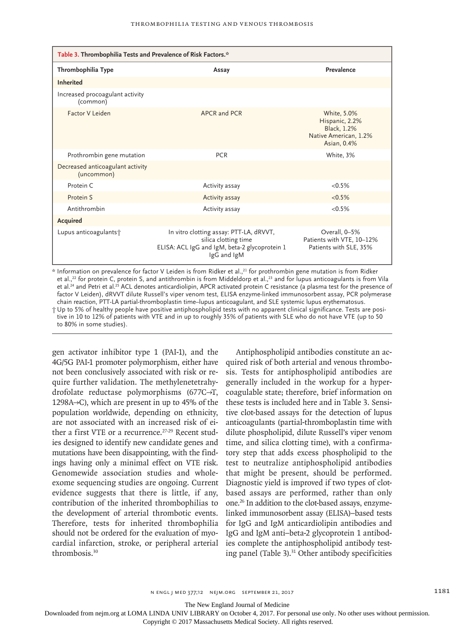| Table 3. Thrombophilia Tests and Prevalence of Risk Factors.* |                                                                                                                                 |                                                                                              |  |  |
|---------------------------------------------------------------|---------------------------------------------------------------------------------------------------------------------------------|----------------------------------------------------------------------------------------------|--|--|
| Thrombophilia Type                                            | Assay                                                                                                                           | Prevalence                                                                                   |  |  |
| <b>Inherited</b>                                              |                                                                                                                                 |                                                                                              |  |  |
| Increased procoagulant activity<br>(common)                   |                                                                                                                                 |                                                                                              |  |  |
| Factor V Leiden                                               | APCR and PCR                                                                                                                    | White, 5.0%<br>Hispanic, 2.2%<br><b>Black</b> , 1.2%<br>Native American, 1.2%<br>Asian, 0.4% |  |  |
| Prothrombin gene mutation                                     | <b>PCR</b>                                                                                                                      | White, 3%                                                                                    |  |  |
| Decreased anticoagulant activity<br>(uncommon)                |                                                                                                                                 |                                                                                              |  |  |
| Protein C                                                     | Activity assay                                                                                                                  | < 0.5%                                                                                       |  |  |
| Protein S                                                     | Activity assay                                                                                                                  | $< 0.5\%$                                                                                    |  |  |
| Antithrombin                                                  | Activity assay                                                                                                                  | $< 0.5\%$                                                                                    |  |  |
| Acquired                                                      |                                                                                                                                 |                                                                                              |  |  |
| Lupus anticoagulants†                                         | In vitro clotting assay: PTT-LA, dRVVT,<br>silica clotting time<br>ELISA: ACL IgG and IgM, beta-2 glycoprotein 1<br>IgG and IgM | Overall, 0-5%<br>Patients with VTE, 10-12%<br>Patients with SLE, 35%                         |  |  |

\* Information on prevalence for factor V Leiden is from Ridker et al.,21 for prothrombin gene mutation is from Ridker et al.,<sup>22</sup> for protein C, protein S, and antithrombin is from Middeldorp et al.,<sup>23</sup> and for lupus anticoagulants is from Vila et al.<sup>24</sup> and Petri et al.<sup>25</sup> ACL denotes anticardiolipin, APCR activated protein C resistance (a plasma test for the presence of factor V Leiden), dRVVT dilute Russell's viper venom test, ELISA enzyme-linked immunosorbent assay, PCR polymerase chain reaction, PTT-LA partial-thromboplastin time–lupus anticoagulant, and SLE systemic lupus erythematosus. † Up to 5% of healthy people have positive antiphospholipid tests with no apparent clinical significance. Tests are posi-

tive in 10 to 12% of patients with VTE and in up to roughly 35% of patients with SLE who do not have VTE (up to 50 to 80% in some studies).

gen activator inhibitor type 1 (PAI-1), and the 4G/5G PAI-1 promoter polymorphism, either have not been conclusively associated with risk or require further validation. The methylenetetrahydrofolate reductase polymorphisms (677C→T, 1298A→C), which are present in up to 45% of the population worldwide, depending on ethnicity, are not associated with an increased risk of either a first VTE or a recurrence.<sup>27-29</sup> Recent studies designed to identify new candidate genes and mutations have been disappointing, with the findings having only a minimal effect on VTE risk. Genomewide association studies and wholeexome sequencing studies are ongoing. Current evidence suggests that there is little, if any, contribution of the inherited thrombophilias to the development of arterial thrombotic events. Therefore, tests for inherited thrombophilia should not be ordered for the evaluation of myocardial infarction, stroke, or peripheral arterial thrombosis.30

Antiphospholipid antibodies constitute an acquired risk of both arterial and venous thrombosis. Tests for antiphospholipid antibodies are generally included in the workup for a hypercoagulable state; therefore, brief information on these tests is included here and in Table 3. Sensitive clot-based assays for the detection of lupus anticoagulants (partial-thromboplastin time with dilute phospholipid, dilute Russell's viper venom time, and silica clotting time), with a confirmatory step that adds excess phospholipid to the test to neutralize antiphospholipid antibodies that might be present, should be performed. Diagnostic yield is improved if two types of clotbased assays are performed, rather than only one.26 In addition to the clot-based assays, enzymelinked immunosorbent assay (ELISA)–based tests for IgG and IgM anticardiolipin antibodies and IgG and IgM anti–beta-2 glycoprotein 1 antibodies complete the antiphospholipid antibody testing panel (Table 3).<sup>31</sup> Other antibody specificities

The New England Journal of Medicine

Downloaded from nejm.org at LOMA LINDA UNIV LIBRARY on October 4, 2017. For personal use only. No other uses without permission.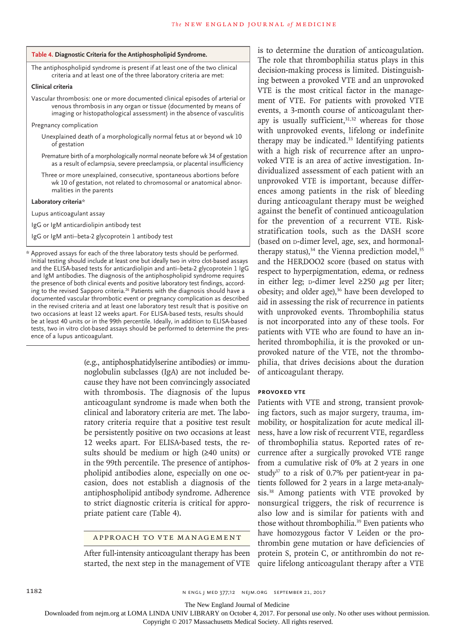| Table 4. Diagnostic Criteria for the Antiphospholipid Syndrome.                                                                                                                                                                   | is to determine<br>The role that tl                         |
|-----------------------------------------------------------------------------------------------------------------------------------------------------------------------------------------------------------------------------------|-------------------------------------------------------------|
| The antiphospholipid syndrome is present if at least one of the two clinical<br>criteria and at least one of the three laboratory criteria are met:                                                                               | decision-makin<br>ing between a p                           |
| Clinical criteria                                                                                                                                                                                                                 | VTE is the mo                                               |
| Vascular thrombosis: one or more documented clinical episodes of arterial or<br>venous thrombosis in any organ or tissue (documented by means of<br>imaging or histopathological assessment) in the absence of vasculitis         | ment of VTE.<br>events, a 3-moi                             |
| Pregnancy complication                                                                                                                                                                                                            | apy is usually                                              |
| Unexplained death of a morphologically normal fetus at or beyond wk 10<br>of gestation                                                                                                                                            | with unprovok<br>therapy may be                             |
| Premature birth of a morphologically normal neonate before wk 34 of gestation<br>as a result of eclampsia, severe preeclampsia, or placental insufficiency                                                                        | with a high ris<br>voked VTE is a                           |
| Three or more unexplained, consecutive, spontaneous abortions before<br>wk 10 of gestation, not related to chromosomal or anatomical abnor-<br>malities in the parents                                                            | dividualized as<br>unprovoked V <sub>1</sub><br>ences among |
| Laboratory criteria*                                                                                                                                                                                                              | during anticoa                                              |
| Lupus anticoagulant assay                                                                                                                                                                                                         | against the ben                                             |
| $\mathbf{r}$ , and the second contract of the second contract of the second contract of the second contract of the second contract of the second contract of the second contract of the second contract of the second contract of | for the preven                                              |

IgG or IgM anticardiolipin antibody test

IgG or IgM anti–beta-2 glycoprotein 1 antibody test

\* Approved assays for each of the three laboratory tests should be performed. Initial testing should include at least one but ideally two in vitro clot-based assays and the ELISA-based tests for anticardiolipin and anti–beta-2 glycoprotein 1 IgG and IgM antibodies. The diagnosis of the antiphospholipid syndrome requires the presence of both clinical events and positive laboratory test findings, according to the revised Sapporo criteria.26 Patients with the diagnosis should have a documented vascular thrombotic event or pregnancy complication as described in the revised criteria and at least one laboratory test result that is positive on two occasions at least 12 weeks apart. For ELISA-based tests, results should be at least 40 units or in the 99th percentile. Ideally, in addition to ELISA-based tests, two in vitro clot-based assays should be performed to determine the presence of a lupus anticoagulant.

> (e.g., antiphosphatidylserine antibodies) or immunoglobulin subclasses (IgA) are not included because they have not been convincingly associated with thrombosis. The diagnosis of the lupus anticoagulant syndrome is made when both the clinical and laboratory criteria are met. The laboratory criteria require that a positive test result be persistently positive on two occasions at least 12 weeks apart. For ELISA-based tests, the results should be medium or high (≥40 units) or in the 99th percentile. The presence of antiphospholipid antibodies alone, especially on one occasion, does not establish a diagnosis of the antiphospholipid antibody syndrome. Adherence to strict diagnostic criteria is critical for appropriate patient care (Table 4).

## Approach to VTE Management

After full-intensity anticoagulant therapy has been started, the next step in the management of VTE

the duration of anticoagulation. hrombophilia status plays in this g process is limited. Distinguishprovoked VTE and an unprovoked ost critical factor in the manage-For patients with provoked VTE nth course of anticoagulant thersufficient. $31,32$  whereas for those ed events, lifelong or indefinite e indicated.<sup>33</sup> Identifying patients sk of recurrence after an unpron area of active investigation. Insessment of each patient with an TE is important, because differpatients in the risk of bleeding gulant therapy must be weighed efit of continued anticoagulation ition of a recurrent VTE. Riskstratification tools, such as the DASH score  $(based on p-dimer level, age, sex, and hormonal-<sub>1</sub>$ therapy status), $34$  the Vienna prediction model, $35$ and the HERDOO2 score (based on status with respect to hyperpigmentation, edema, or redness in either leg;  $\upsilon$ -dimer level ≥250  $\mu$ g per liter; obesity; and older age),<sup>36</sup> have been developed to aid in assessing the risk of recurrence in patients with unprovoked events. Thrombophilia status is not incorporated into any of these tools. For patients with VTE who are found to have an inherited thrombophilia, it is the provoked or unprovoked nature of the VTE, not the thrombophilia, that drives decisions about the duration of anticoagulant therapy.

#### **Provoked VTE**

Patients with VTE and strong, transient provoking factors, such as major surgery, trauma, immobility, or hospitalization for acute medical illness, have a low risk of recurrent VTE, regardless of thrombophilia status. Reported rates of recurrence after a surgically provoked VTE range from a cumulative risk of 0% at 2 years in one study<sup>37</sup> to a risk of 0.7% per patient-year in patients followed for 2 years in a large meta-analysis.38 Among patients with VTE provoked by nonsurgical triggers, the risk of recurrence is also low and is similar for patients with and those without thrombophilia.<sup>39</sup> Even patients who have homozygous factor V Leiden or the prothrombin gene mutation or have deficiencies of protein S, protein C, or antithrombin do not require lifelong anticoagulant therapy after a VTE

1182 **n engl j med 377;12 nejm.org September 21, 2017** n engl j med 377;12 nejm.org September 21, 2017

The New England Journal of Medicine

Downloaded from nejm.org at LOMA LINDA UNIV LIBRARY on October 4, 2017. For personal use only. No other uses without permission.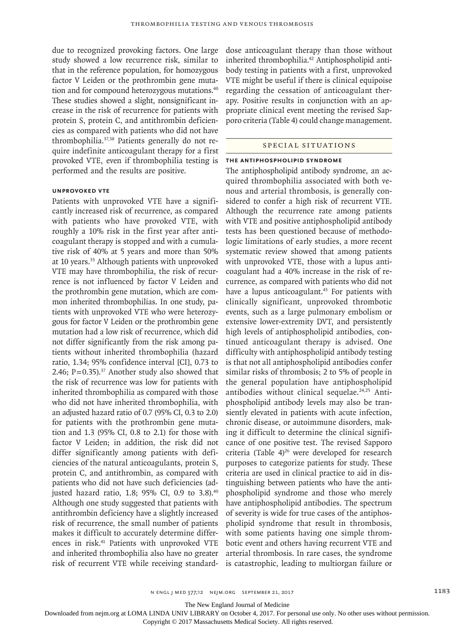due to recognized provoking factors. One large study showed a low recurrence risk, similar to that in the reference population, for homozygous factor V Leiden or the prothrombin gene mutation and for compound heterozygous mutations.40 These studies showed a slight, nonsignificant increase in the risk of recurrence for patients with protein S, protein C, and antithrombin deficiencies as compared with patients who did not have thrombophilia.37,38 Patients generally do not require indefinite anticoagulant therapy for a first provoked VTE, even if thrombophilia testing is performed and the results are positive.

# **Unprovoked VTE**

Patients with unprovoked VTE have a significantly increased risk of recurrence, as compared with patients who have provoked VTE, with roughly a 10% risk in the first year after anticoagulant therapy is stopped and with a cumulative risk of 40% at 5 years and more than 50% at 10 years.33 Although patients with unprovoked VTE may have thrombophilia, the risk of recurrence is not influenced by factor V Leiden and the prothrombin gene mutation, which are common inherited thrombophilias. In one study, patients with unprovoked VTE who were heterozygous for factor V Leiden or the prothrombin gene mutation had a low risk of recurrence, which did not differ significantly from the risk among patients without inherited thrombophilia (hazard ratio, 1.34; 95% confidence interval [CI], 0.73 to 2.46;  $P=0.35$ ).<sup>37</sup> Another study also showed that the risk of recurrence was low for patients with inherited thrombophilia as compared with those who did not have inherited thrombophilia, with an adjusted hazard ratio of 0.7 (95% CI, 0.3 to 2.0) for patients with the prothrombin gene mutation and 1.3 (95% CI, 0.8 to 2.1) for those with factor V Leiden; in addition, the risk did not differ significantly among patients with deficiencies of the natural anticoagulants, protein S, protein C, and antithrombin, as compared with patients who did not have such deficiencies (adjusted hazard ratio, 1.8; 95% CI, 0.9 to 3.8).<sup>40</sup> Although one study suggested that patients with antithrombin deficiency have a slightly increased risk of recurrence, the small number of patients makes it difficult to accurately determine differences in risk.<sup>41</sup> Patients with unprovoked VTE and inherited thrombophilia also have no greater risk of recurrent VTE while receiving standarddose anticoagulant therapy than those without inherited thrombophilia.<sup>42</sup> Antiphospholipid antibody testing in patients with a first, unprovoked VTE might be useful if there is clinical equipoise regarding the cessation of anticoagulant therapy. Positive results in conjunction with an appropriate clinical event meeting the revised Sapporo criteria (Table 4) could change management.

# Special Situations

## **The Antiphospholipid Syndrome**

The antiphospholipid antibody syndrome, an acquired thrombophilia associated with both venous and arterial thrombosis, is generally considered to confer a high risk of recurrent VTE. Although the recurrence rate among patients with VTE and positive antiphospholipid antibody tests has been questioned because of methodologic limitations of early studies, a more recent systematic review showed that among patients with unprovoked VTE, those with a lupus anticoagulant had a 40% increase in the risk of recurrence, as compared with patients who did not have a lupus anticoagulant.<sup>43</sup> For patients with clinically significant, unprovoked thrombotic events, such as a large pulmonary embolism or extensive lower-extremity DVT, and persistently high levels of antiphospholipid antibodies, continued anticoagulant therapy is advised. One difficulty with antiphospholipid antibody testing is that not all antiphospholipid antibodies confer similar risks of thrombosis; 2 to 5% of people in the general population have antiphospholipid antibodies without clinical sequelae.<sup>24,25</sup> Antiphospholipid antibody levels may also be transiently elevated in patients with acute infection, chronic disease, or autoimmune disorders, making it difficult to determine the clinical significance of one positive test. The revised Sapporo criteria (Table  $4$ )<sup>26</sup> were developed for research purposes to categorize patients for study. These criteria are used in clinical practice to aid in distinguishing between patients who have the antiphospholipid syndrome and those who merely have antiphospholipid antibodies. The spectrum of severity is wide for true cases of the antiphospholipid syndrome that result in thrombosis, with some patients having one simple thrombotic event and others having recurrent VTE and arterial thrombosis. In rare cases, the syndrome is catastrophic, leading to multiorgan failure or

The New England Journal of Medicine

Downloaded from nejm.org at LOMA LINDA UNIV LIBRARY on October 4, 2017. For personal use only. No other uses without permission.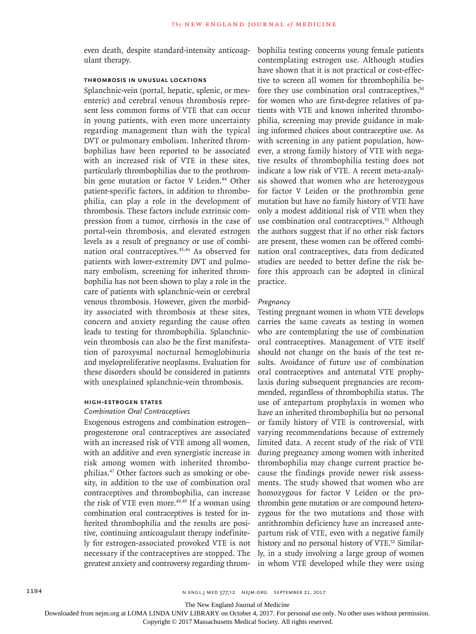even death, despite standard-intensity anticoagulant therapy.

# **Thrombosis in Unusual Locations**

Splanchnic-vein (portal, hepatic, splenic, or mesenteric) and cerebral venous thrombosis represent less common forms of VTE that can occur in young patients, with even more uncertainty regarding management than with the typical DVT or pulmonary embolism. Inherited thrombophilias have been reported to be associated with an increased risk of VTE in these sites, particularly thrombophilias due to the prothrombin gene mutation or factor V Leiden.<sup>44</sup> Other patient-specific factors, in addition to thrombophilia, can play a role in the development of thrombosis. These factors include extrinsic compression from a tumor, cirrhosis in the case of portal-vein thrombosis, and elevated estrogen levels as a result of pregnancy or use of combination oral contraceptives.<sup>45,46</sup> As observed for patients with lower-extremity DVT and pulmonary embolism, screening for inherited thrombophilia has not been shown to play a role in the care of patients with splanchnic-vein or cerebral venous thrombosis. However, given the morbidity associated with thrombosis at these sites, concern and anxiety regarding the cause often leads to testing for thrombophilia. Splanchnicvein thrombosis can also be the first manifestation of paroxysmal nocturnal hemoglobinuria and myeloproliferative neoplasms. Evaluation for these disorders should be considered in patients with unexplained splanchnic-vein thrombosis.

# **High-Estrogen States**

# *Combination Oral Contraceptives*

Exogenous estrogens and combination estrogen– progesterone oral contraceptives are associated with an increased risk of VTE among all women, with an additive and even synergistic increase in risk among women with inherited thrombophilias.47 Other factors such as smoking or obesity, in addition to the use of combination oral contraceptives and thrombophilia, can increase the risk of VTE even more. $48,49$  If a woman using combination oral contraceptives is tested for inherited thrombophilia and the results are positive, continuing anticoagulant therapy indefinitely for estrogen-associated provoked VTE is not necessary if the contraceptives are stopped. The greatest anxiety and controversy regarding thrombophilia testing concerns young female patients contemplating estrogen use. Although studies have shown that it is not practical or cost-effective to screen all women for thrombophilia before they use combination oral contraceptives,<sup>50</sup> for women who are first-degree relatives of patients with VTE and known inherited thrombophilia, screening may provide guidance in making informed choices about contraceptive use. As with screening in any patient population, however, a strong family history of VTE with negative results of thrombophilia testing does not indicate a low risk of VTE. A recent meta-analysis showed that women who are heterozygous for factor V Leiden or the prothrombin gene mutation but have no family history of VTE have only a modest additional risk of VTE when they use combination oral contraceptives.<sup>51</sup> Although the authors suggest that if no other risk factors are present, these women can be offered combination oral contraceptives, data from dedicated studies are needed to better define the risk before this approach can be adopted in clinical practice.

#### *Pregnancy*

Testing pregnant women in whom VTE develops carries the same caveats as testing in women who are contemplating the use of combination oral contraceptives. Management of VTE itself should not change on the basis of the test results. Avoidance of future use of combination oral contraceptives and antenatal VTE prophylaxis during subsequent pregnancies are recommended, regardless of thrombophilia status. The use of antepartum prophylaxis in women who have an inherited thrombophilia but no personal or family history of VTE is controversial, with varying recommendations because of extremely limited data. A recent study of the risk of VTE during pregnancy among women with inherited thrombophilia may change current practice because the findings provide newer risk assessments. The study showed that women who are homozygous for factor V Leiden or the prothrombin gene mutation or are compound heterozygous for the two mutations and those with antithrombin deficiency have an increased antepartum risk of VTE, even with a negative family history and no personal history of VTE.<sup>52</sup> Similarly, in a study involving a large group of women in whom VTE developed while they were using

The New England Journal of Medicine

Downloaded from nejm.org at LOMA LINDA UNIV LIBRARY on October 4, 2017. For personal use only. No other uses without permission.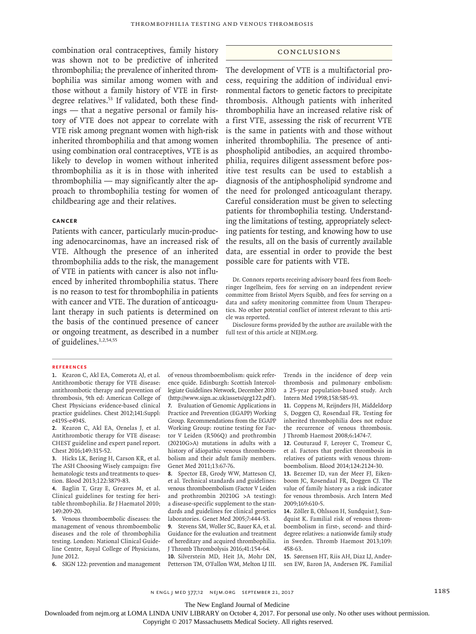combination oral contraceptives, family history was shown not to be predictive of inherited thrombophilia; the prevalence of inherited thrombophilia was similar among women with and those without a family history of VTE in firstdegree relatives.<sup>53</sup> If validated, both these findings — that a negative personal or family history of VTE does not appear to correlate with VTE risk among pregnant women with high-risk inherited thrombophilia and that among women using combination oral contraceptives, VTE is as likely to develop in women without inherited thrombophilia as it is in those with inherited thrombophilia — may significantly alter the approach to thrombophilia testing for women of childbearing age and their relatives.

# **Cancer**

Patients with cancer, particularly mucin-producing adenocarcinomas, have an increased risk of VTE. Although the presence of an inherited thrombophilia adds to the risk, the management of VTE in patients with cancer is also not influenced by inherited thrombophilia status. There is no reason to test for thrombophilia in patients with cancer and VTE. The duration of anticoagulant therapy in such patients is determined on the basis of the continued presence of cancer or ongoing treatment, as described in a number full text of this article at NEJM.org. of guidelines.1,2,54,55

#### Conclusions

The development of VTE is a multifactorial process, requiring the addition of individual environmental factors to genetic factors to precipitate thrombosis. Although patients with inherited thrombophilia have an increased relative risk of a first VTE, assessing the risk of recurrent VTE is the same in patients with and those without inherited thrombophilia. The presence of antiphospholipid antibodies, an acquired thrombophilia, requires diligent assessment before positive test results can be used to establish a diagnosis of the antiphospholipid syndrome and the need for prolonged anticoagulant therapy. Careful consideration must be given to selecting patients for thrombophilia testing. Understanding the limitations of testing, appropriately selecting patients for testing, and knowing how to use the results, all on the basis of currently available data, are essential in order to provide the best possible care for patients with VTE.

Dr. Connors reports receiving advisory board fees from Boehringer Ingelheim, fees for serving on an independent review committee from Bristol Myers Squibb, and fees for serving on a data and safety monitoring committee from Unum Therapeutics. No other potential conflict of interest relevant to this article was reported.

Disclosure forms provided by the author are available with the

#### **References**

**1.** Kearon C, Akl EA, Comerota AJ, et al. Antithrombotic therapy for VTE disease: antithrombotic therapy and prevention of thrombosis, 9th ed: American College of Chest Physicians evidence-based clinical practice guidelines. Chest 2012;141:Suppl: e419S-e494S.

**2.** Kearon C, Akl EA, Ornelas J, et al. Antithrombotic therapy for VTE disease: CHEST guideline and expert panel report. Chest 2016;149:315-52.

**3.** Hicks LK, Bering H, Carson KR, et al. The ASH Choosing Wisely campaign: five hematologic tests and treatments to question. Blood 2013;122:3879-83.

**4.** Baglin T, Gray E, Greaves M, et al. Clinical guidelines for testing for heritable thrombophilia. Br J Haematol 2010; 149:209-20.

**5.** Venous thromboembolic diseases: the management of venous thromboembolic diseases and the role of thrombophilia testing. London: National Clinical Guideline Centre, Royal College of Physicians, June 2012.

**6.** SIGN 122: prevention and management

of venous thromboembolism: quick reference quide. Edinburgh: Scottish Intercollegiate Guidelines Network, December 2010 (http://www.sign.ac.uk/assets/qrg122.pdf). **7.** Evaluation of Genomic Applications in Practice and Prevention (EGAPP) Working Group. Recommendations from the EGAPP Working Group: routine testing for Factor V Leiden (R506Q) and prothrombin (20210G>A) mutations in adults with a history of idiopathic venous thromboembolism and their adult family members. Genet Med 2011;13:67-76.

**8.** Spector EB, Grody WW, Matteson CJ, et al. Technical standards and guidelines: venous thromboembolism (Factor V Leiden and prothrombin 20210G >A testing): a disease-specific supplement to the standards and guidelines for clinical genetics laboratories. Genet Med 2005;7:444-53.

**9.** Stevens SM, Woller SC, Bauer KA, et al. Guidance for the evaluation and treatment of hereditary and acquired thrombophilia. J Thromb Thrombolysis 2016;41:154-64.

**10.** Silverstein MD, Heit JA, Mohr DN, Petterson TM, O'Fallon WM, Melton LJ III. Trends in the incidence of deep vein thrombosis and pulmonary embolism: a 25-year population-based study. Arch Intern Med 1998;158:585-93.

**11.** Coppens M, Reijnders JH, Middeldorp S, Doggen CJ, Rosendaal FR. Testing for inherited thrombophilia does not reduce the recurrence of venous thrombosis. J Thromb Haemost 2008;6:1474-7.

**12.** Couturaud F, Leroyer C, Tromeur C, et al. Factors that predict thrombosis in relatives of patients with venous thromboembolism. Blood 2014;124:2124-30.

**13.** Bezemer ID, van der Meer FJ, Eikenboom JC, Rosendaal FR, Doggen CJ. The value of family history as a risk indicator for venous thrombosis. Arch Intern Med 2009;169:610-5.

**14.** Zöller B, Ohlsson H, Sundquist J, Sundquist K. Familial risk of venous thromboembolism in first-, second- and thirddegree relatives: a nationwide family study in Sweden. Thromb Haemost 2013;109: 458-63.

**15.** Sørensen HT, Riis AH, Diaz LJ, Andersen EW, Baron JA, Andersen PK. Familial

n engl j med 377;12 nejm.org September 21, 2017 1185

The New England Journal of Medicine

Downloaded from nejm.org at LOMA LINDA UNIV LIBRARY on October 4, 2017. For personal use only. No other uses without permission.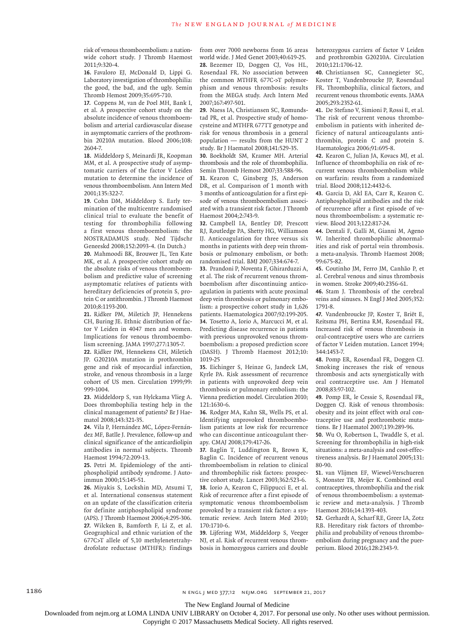risk of venous thromboembolism: a nationwide cohort study. J Thromb Haemost 2011;9:320-4.

**16.** Favaloro EJ, McDonald D, Lippi G. Laboratory investigation of thrombophilia: the good, the bad, and the ugly. Semin Thromb Hemost 2009;35:695-710.

**17.** Coppens M, van de Poel MH, Bank I, et al. A prospective cohort study on the absolute incidence of venous thromboembolism and arterial cardiovascular disease in asymptomatic carriers of the prothrombin 20210A mutation. Blood 2006;108: 2604-7.

**18.** Middeldorp S, Meinardi JR, Koopman MM, et al. A prospective study of asymptomatic carriers of the factor V Leiden mutation to determine the incidence of venous thromboembolism. Ann Intern Med 2001;135:322-7.

**19.** Cohn DM, Middeldorp S. Early termination of the multicentre randomised clinical trial to evaluate the benefit of testing for thrombophilia following a first venous thromboembolism: the NOSTRADAMUS study. Ned Tijdschr Geneeskd 2008;152:2093-4. (In Dutch.)

**20.** Mahmoodi BK, Brouwer JL, Ten Kate MK, et al. A prospective cohort study on the absolute risks of venous thromboembolism and predictive value of screening asymptomatic relatives of patients with hereditary deficiencies of protein S, protein C or antithrombin. J Thromb Haemost 2010;8:1193-200.

**21.** Ridker PM, Miletich JP, Hennekens CH, Buring JE. Ethnic distribution of factor V Leiden in 4047 men and women. Implications for venous thromboembolism screening. JAMA 1997;277:1305-7.

**22.** Ridker PM, Hennekens CH, Miletich JP. G20210A mutation in prothrombin gene and risk of myocardial infarction, stroke, and venous thrombosis in a large cohort of US men. Circulation 1999;99: 999-1004.

**23.** Middeldorp S, van Hylckama Vlieg A. Does thrombophilia testing help in the clinical management of patients? Br J Haematol 2008;143:321-35.

**24.** Vila P, Hernández MC, López-Fernández MF, Batlle J. Prevalence, follow-up and clinical significance of the anticardiolipin antibodies in normal subjects. Thromb Haemost 1994;72:209-13.

**25.** Petri M. Epidemiology of the antiphospholipid antibody syndrome. J Autoimmun 2000;15:145-51.

**26.** Miyakis S, Lockshin MD, Atsumi T, et al. International consensus statement on an update of the classification criteria for definite antiphospholipid syndrome (APS). J Thromb Haemost 2006;4:295-306. **27.** Wilcken B, Bamforth F, Li Z, et al. Geographical and ethnic variation of the 677C>T allele of 5,10 methylenetetrahydrofolate reductase (MTHFR): findings from over 7000 newborns from 16 areas world wide. J Med Genet 2003;40:619-25. **28.** Bezemer ID, Doggen CJ, Vos HL, Rosendaal FR. No association between the common MTHFR 677C->T polymorphism and venous thrombosis: results from the MEGA study. Arch Intern Med 2007;167:497-501.

**29.** Naess IA, Christiansen SC, Romundstad PR, et al. Prospective study of homocysteine and MTHFR 677TT genotype and risk for venous thrombosis in a general population — results from the HUNT 2 study. Br J Haematol 2008;141:529-35.

**30.** Boekholdt SM, Kramer MH. Arterial thrombosis and the role of thrombophilia. Semin Thromb Hemost 2007;33:588-96. **31.** Kearon C, Ginsberg JS, Anderson

DR, et al. Comparison of 1 month with 3 months of anticoagulation for a first episode of venous thromboembolism associated with a transient risk factor. J Thromb Haemost 2004;2:743-9.

**32.** Campbell IA, Bentley DP, Prescott RJ, Routledge PA, Shetty HG, Williamson IJ. Anticoagulation for three versus six months in patients with deep vein thrombosis or pulmonary embolism, or both: randomised trial. BMJ 2007;334:674-7.

**33.** Prandoni P, Noventa F, Ghirarduzzi A, et al. The risk of recurrent venous thromboembolism after discontinuing anticoagulation in patients with acute proximal deep vein thrombosis or pulmonary embolism: a prospective cohort study in 1,626 patients. Haematologica 2007;92:199-205. **34.** Tosetto A, Iorio A, Marcucci M, et al. Predicting disease recurrence in patients with previous unprovoked venous thromboembolism: a proposed prediction score (DASH). J Thromb Haemost 2012;10: 1019-25

**35.** Eichinger S, Heinze G, Jandeck LM, Kyrle PA. Risk assessment of recurrence in patients with unprovoked deep vein thrombosis or pulmonary embolism: the Vienna prediction model. Circulation 2010; 121:1630-6.

**36.** Rodger MA, Kahn SR, Wells PS, et al. Identifying unprovoked thromboembolism patients at low risk for recurrence who can discontinue anticoagulant therapy. CMAJ 2008;179:417-26.

**37.** Baglin T, Luddington R, Brown K, Baglin C. Incidence of recurrent venous thromboembolism in relation to clinical and thrombophilic risk factors: prospective cohort study. Lancet 2003;362:523-6. **38.** Iorio A, Kearon C, Filippucci E, et al. Risk of recurrence after a first episode of symptomatic venous thromboembolism provoked by a transient risk factor: a systematic review. Arch Intern Med 2010; 170:1710-6.

**39.** Lijfering WM, Middeldorp S, Veeger NJ, et al. Risk of recurrent venous thrombosis in homozygous carriers and double

heterozygous carriers of factor V Leiden and prothrombin G20210A. Circulation 2010;121:1706-12.

**40.** Christiansen SC, Cannegieter SC, Koster T, Vandenbroucke JP, Rosendaal FR. Thrombophilia, clinical factors, and recurrent venous thrombotic events. JAMA 2005;293:2352-61.

**41.** De Stefano V, Simioni P, Rossi E, et al. The risk of recurrent venous thromboembolism in patients with inherited deficiency of natural anticoagulants antithrombin, protein C and protein S. Haematologica 2006;91:695-8.

**42.** Kearon C, Julian JA, Kovacs MJ, et al. Influence of thrombophilia on risk of recurrent venous thromboembolism while on warfarin: results from a randomized trial. Blood 2008;112:4432-6.

**43.** Garcia D, Akl EA, Carr R, Kearon C. Antiphospholipid antibodies and the risk of recurrence after a first episode of venous thromboembolism: a systematic review. Blood 2013;122:817-24.

**44.** Dentali F, Galli M, Gianni M, Ageno W. Inherited thrombophilic abnormalities and risk of portal vein thrombosis. a meta-analysis. Thromb Haemost 2008; 99:675-82.

**45.** Coutinho JM, Ferro JM, Canhão P, et al. Cerebral venous and sinus thrombosis in women. Stroke 2009;40:2356-61.

**46.** Stam J. Thrombosis of the cerebral veins and sinuses. N Engl J Med 2005;352: 1791-8.

**47.** Vandenbroucke JP, Koster T, Briët E, Reitsma PH, Bertina RM, Rosendaal FR. Increased risk of venous thrombosis in oral-contraceptive users who are carriers of factor V Leiden mutation. Lancet 1994; 344:1453-7.

**48.** Pomp ER, Rosendaal FR, Doggen CJ. Smoking increases the risk of venous thrombosis and acts synergistically with oral contraceptive use. Am J Hematol 2008;83:97-102.

**49.** Pomp ER, le Cessie S, Rosendaal FR, Doggen CJ. Risk of venous thrombosis: obesity and its joint effect with oral contraceptive use and prothrombotic mutations. Br J Haematol 2007;139:289-96.

**50.** Wu O, Robertson L, Twaddle S, et al. Screening for thrombophilia in high-risk situations: a meta-analysis and cost-effectiveness analysis. Br J Haematol 2005;131: 80-90.

**51.** van Vlijmen EF, Wiewel-Verschueren S, Monster TB, Meijer K. Combined oral contraceptives, thrombophilia and the risk of venous thromboembolism: a systematic review and meta-analysis. J Thromb Haemost 2016;14:1393-403.

**52.** Gerhardt A, Scharf RE, Greer IA, Zotz RB. Hereditary risk factors of thrombophilia and probability of venous thromboembolism during pregnancy and the puerperium. Blood 2016;128:2343-9.

1186 **n engl j med 377;12 n engl j med 377**;12 nejm.org September 21, 2017

The New England Journal of Medicine

Downloaded from nejm.org at LOMA LINDA UNIV LIBRARY on October 4, 2017. For personal use only. No other uses without permission.